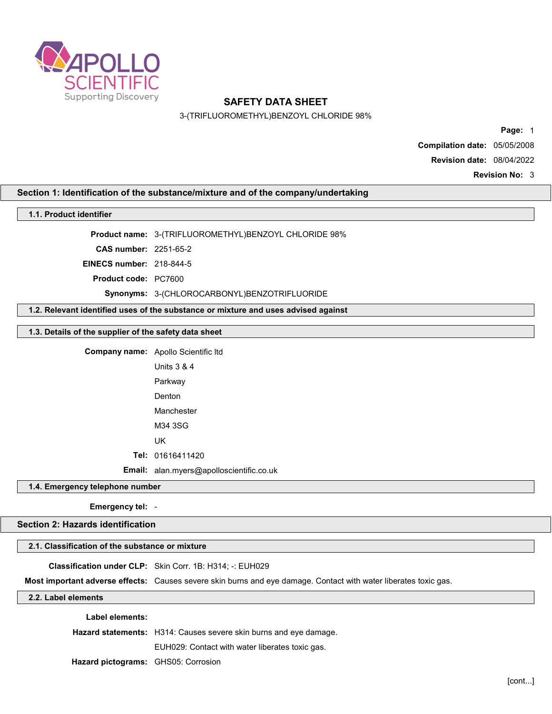

3-(TRIFLUOROMETHYL)BENZOYL CHLORIDE 98%

Page: 1 Compilation date: 05/05/2008

Revision date: 08/04/2022

Revision No: 3

## Section 1: Identification of the substance/mixture and of the company/undertaking

## 1.1. Product identifier

Product name: 3-(TRIFLUOROMETHYL)BENZOYL CHLORIDE 98%

CAS number: 2251-65-2

EINECS number: 218-844-5

Product code: PC7600

Synonyms: 3-(CHLOROCARBONYL)BENZOTRIFLUORIDE

1.2. Relevant identified uses of the substance or mixture and uses advised against

# 1.3. Details of the supplier of the safety data sheet

Company name: Apollo Scientific ltd

Units 3 & 4 Parkway Denton Manchester M34 3SG

UK

Tel: 01616411420

Email: alan.myers@apolloscientific.co.uk

1.4. Emergency telephone number

Emergency tel: -

Section 2: Hazards identification

### 2.1. Classification of the substance or mixture

#### Classification under CLP: Skin Corr. 1B: H314; -: EUH029

Most important adverse effects: Causes severe skin burns and eye damage. Contact with water liberates toxic gas.

2.2. Label elements

Label elements:

Hazard statements: H314: Causes severe skin burns and eye damage.

EUH029: Contact with water liberates toxic gas.

Hazard pictograms: GHS05: Corrosion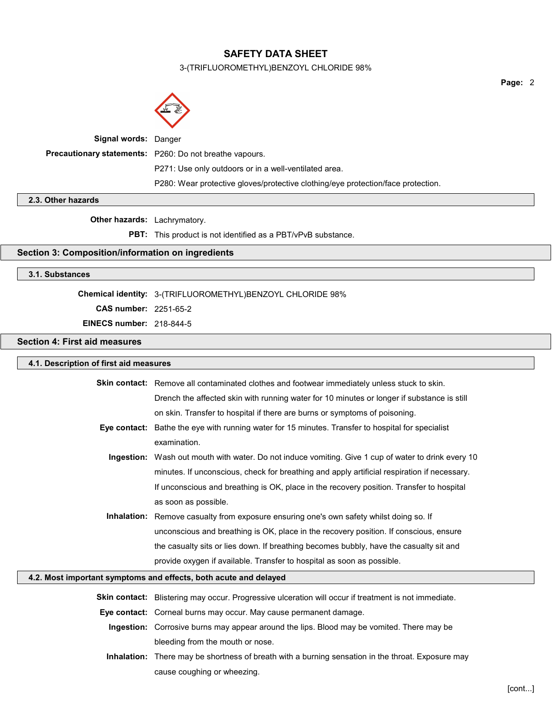3-(TRIFLUOROMETHYL)BENZOYL CHLORIDE 98%



| <b>Signal words: Danger</b> |                                                                                  |
|-----------------------------|----------------------------------------------------------------------------------|
|                             | Precautionary statements: P260: Do not breathe vapours.                          |
|                             | P271: Use only outdoors or in a well-ventilated area.                            |
|                             | P280: Wear protective gloves/protective clothing/eye protection/face protection. |

2.3. Other hazards

Other hazards: Lachrymatory.

PBT: This product is not identified as a PBT/vPvB substance.

# Section 3: Composition/information on ingredients

## 3.1. Substances

Chemical identity: 3-(TRIFLUOROMETHYL)BENZOYL CHLORIDE 98%

cause coughing or wheezing.

CAS number: 2251-65-2

EINECS number: 218-844-5

Section 4: First aid measures

| 4.1. Description of first aid measures                           |                                                                                                      |  |
|------------------------------------------------------------------|------------------------------------------------------------------------------------------------------|--|
|                                                                  | <b>Skin contact:</b> Remove all contaminated clothes and footwear immediately unless stuck to skin.  |  |
|                                                                  | Drench the affected skin with running water for 10 minutes or longer if substance is still           |  |
|                                                                  | on skin. Transfer to hospital if there are burns or symptoms of poisoning.                           |  |
|                                                                  | Eye contact: Bathe the eye with running water for 15 minutes. Transfer to hospital for specialist    |  |
|                                                                  | examination.                                                                                         |  |
| Ingestion:                                                       | Wash out mouth with water. Do not induce vomiting. Give 1 cup of water to drink every 10             |  |
|                                                                  | minutes. If unconscious, check for breathing and apply artificial respiration if necessary.          |  |
|                                                                  | If unconscious and breathing is OK, place in the recovery position. Transfer to hospital             |  |
|                                                                  | as soon as possible.                                                                                 |  |
| Inhalation:                                                      | Remove casualty from exposure ensuring one's own safety whilst doing so. If                          |  |
|                                                                  | unconscious and breathing is OK, place in the recovery position. If conscious, ensure                |  |
|                                                                  | the casualty sits or lies down. If breathing becomes bubbly, have the casualty sit and               |  |
|                                                                  | provide oxygen if available. Transfer to hospital as soon as possible.                               |  |
| 4.2. Most important symptoms and effects, both acute and delayed |                                                                                                      |  |
|                                                                  | Skin contact: Blistering may occur. Progressive ulceration will occur if treatment is not immediate. |  |
|                                                                  | Eye contact: Corneal burns may occur. May cause permanent damage.                                    |  |
|                                                                  | Ingestion: Corrosive burns may appear around the lips. Blood may be vomited. There may be            |  |
|                                                                  | bleeding from the mouth or nose.                                                                     |  |
|                                                                  | Inhalation: There may be shortness of breath with a burning sensation in the throat. Exposure may    |  |

[cont...]

Page: 2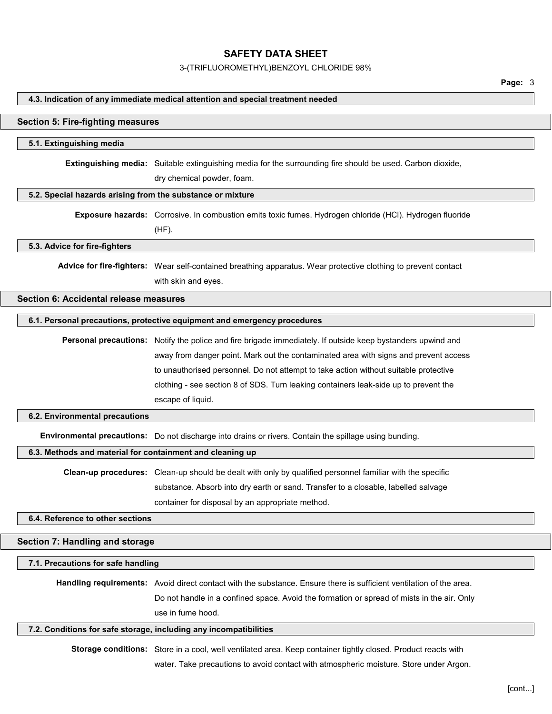3-(TRIFLUOROMETHYL)BENZOYL CHLORIDE 98%

#### 4.3. Indication of any immediate medical attention and special treatment needed

#### Section 5: Fire-fighting measures

#### 5.1. Extinguishing media

Extinguishing media: Suitable extinguishing media for the surrounding fire should be used. Carbon dioxide,

dry chemical powder, foam.

### 5.2. Special hazards arising from the substance or mixture

Exposure hazards: Corrosive. In combustion emits toxic fumes. Hydrogen chloride (HCl). Hydrogen fluoride

(HF).

#### 5.3. Advice for fire-fighters

Advice for fire-fighters: Wear self-contained breathing apparatus. Wear protective clothing to prevent contact with skin and eyes.

# Section 6: Accidental release measures

## 6.1. Personal precautions, protective equipment and emergency procedures

Personal precautions: Notify the police and fire brigade immediately. If outside keep bystanders upwind and away from danger point. Mark out the contaminated area with signs and prevent access to unauthorised personnel. Do not attempt to take action without suitable protective clothing - see section 8 of SDS. Turn leaking containers leak-side up to prevent the escape of liquid.

### 6.2. Environmental precautions

Environmental precautions: Do not discharge into drains or rivers. Contain the spillage using bunding.

#### 6.3. Methods and material for containment and cleaning up

Clean-up procedures: Clean-up should be dealt with only by qualified personnel familiar with the specific substance. Absorb into dry earth or sand. Transfer to a closable, labelled salvage container for disposal by an appropriate method.

6.4. Reference to other sections

#### Section 7: Handling and storage

### 7.1. Precautions for safe handling

Handling requirements: Avoid direct contact with the substance. Ensure there is sufficient ventilation of the area. Do not handle in a confined space. Avoid the formation or spread of mists in the air. Only use in fume hood.

### 7.2. Conditions for safe storage, including any incompatibilities

Storage conditions: Store in a cool, well ventilated area. Keep container tightly closed. Product reacts with water. Take precautions to avoid contact with atmospheric moisture. Store under Argon.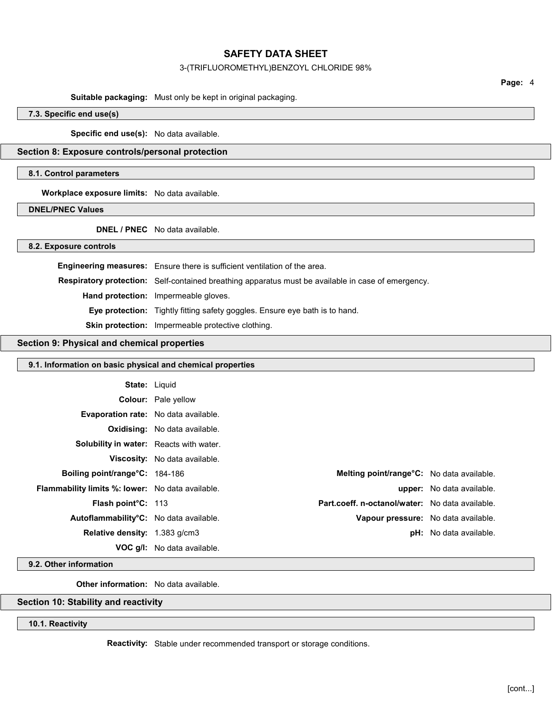#### 3-(TRIFLUOROMETHYL)BENZOYL CHLORIDE 98%

Page: 4

#### Suitable packaging: Must only be kept in original packaging.

7.3. Specific end use(s)

Specific end use(s): No data available.

Section 8: Exposure controls/personal protection

#### 8.1. Control parameters

Workplace exposure limits: No data available.

# DNEL/PNEC Values

DNEL / PNEC No data available.

## 8.2. Exposure controls

Engineering measures: Ensure there is sufficient ventilation of the area. Respiratory protection: Self-contained breathing apparatus must be available in case of emergency. Hand protection: Impermeable gloves. Eye protection: Tightly fitting safety goggles. Ensure eye bath is to hand. Skin protection: Impermeable protective clothing.

## Section 9: Physical and chemical properties

### 9.1. Information on basic physical and chemical properties

| <b>State: Liquid</b>                                    |                                                        |                                     |
|---------------------------------------------------------|--------------------------------------------------------|-------------------------------------|
|                                                         | <b>Colour:</b> Pale yellow                             |                                     |
| <b>Evaporation rate:</b> No data available.             |                                                        |                                     |
|                                                         | <b>Oxidising:</b> No data available.                   |                                     |
| <b>Solubility in water:</b> Reacts with water.          |                                                        |                                     |
|                                                         | Viscosity: No data available.                          |                                     |
| <b>Boiling point/range °C: 184-186</b>                  | <b>Melting point/range °C:</b> No data available.      |                                     |
| <b>Flammability limits %: lower:</b> No data available. |                                                        | <b>upper:</b> No data available.    |
| <b>Flash point C: 113</b>                               | <b>Part.coeff. n-octanol/water:</b> No data available. |                                     |
| Autoflammability <sup>o</sup> C: No data available.     |                                                        | Vapour pressure: No data available. |
| <b>Relative density:</b> 1.383 g/cm3                    |                                                        | <b>pH:</b> No data available.       |
|                                                         | <b>VOC g/l:</b> No data available.                     |                                     |

## 9.2. Other information

Other information: No data available.

# Section 10: Stability and reactivity

# 10.1. Reactivity

Reactivity: Stable under recommended transport or storage conditions.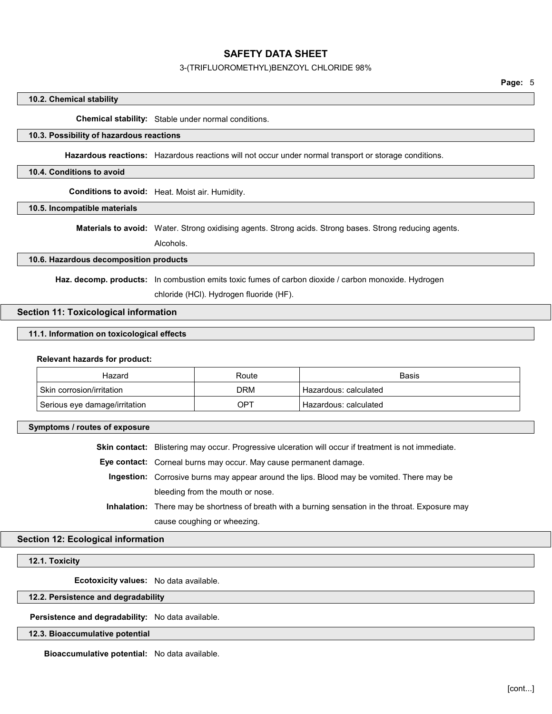## 3-(TRIFLUOROMETHYL)BENZOYL CHLORIDE 98%

## 10.2. Chemical stability

Chemical stability: Stable under normal conditions.

#### 10.3. Possibility of hazardous reactions

Hazardous reactions: Hazardous reactions will not occur under normal transport or storage conditions.

#### 10.4. Conditions to avoid

Conditions to avoid: Heat. Moist air. Humidity.

## 10.5. Incompatible materials

Materials to avoid: Water. Strong oxidising agents. Strong acids. Strong bases. Strong reducing agents.

Alcohols.

#### 10.6. Hazardous decomposition products

Haz. decomp. products: In combustion emits toxic fumes of carbon dioxide / carbon monoxide. Hydrogen

chloride (HCl). Hydrogen fluoride (HF).

# Section 11: Toxicological information

## 11.1. Information on toxicological effects

#### Relevant hazards for product:

| Hazard                        | Route | Basis                    |
|-------------------------------|-------|--------------------------|
| l Skin corrosion/irritation_  | DRM   | ' Hazardous: calculated_ |
| Serious eye damage/irritation | OP1   | Hazardous: calculated    |

#### Symptoms / routes of exposure

Skin contact: Blistering may occur. Progressive ulceration will occur if treatment is not immediate.

Eye contact: Corneal burns may occur. May cause permanent damage.

Ingestion: Corrosive burns may appear around the lips. Blood may be vomited. There may be bleeding from the mouth or nose.

Inhalation: There may be shortness of breath with a burning sensation in the throat. Exposure may cause coughing or wheezing.

#### Section 12: Ecological information

## 12.1. Toxicity

Ecotoxicity values: No data available.

### 12.2. Persistence and degradability

Persistence and degradability: No data available.

### 12.3. Bioaccumulative potential

Bioaccumulative potential: No data available.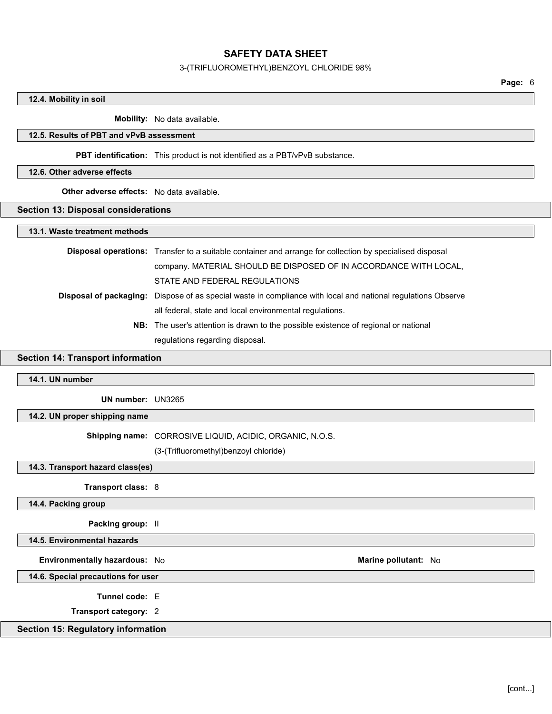### 3-(TRIFLUOROMETHYL)BENZOYL CHLORIDE 98%

Page: 6

## 12.4. Mobility in soil

Mobility: No data available.

#### 12.5. Results of PBT and vPvB assessment

PBT identification: This product is not identified as a PBT/vPvB substance.

#### 12.6. Other adverse effects

**Other adverse effects:** No data available.

### Section 13: Disposal considerations

#### 13.1. Waste treatment methods

Disposal operations: Transfer to a suitable container and arrange for collection by specialised disposal company. MATERIAL SHOULD BE DISPOSED OF IN ACCORDANCE WITH LOCAL, STATE AND FEDERAL REGULATIONS Disposal of packaging: Dispose of as special waste in compliance with local and national regulations Observe all federal, state and local environmental regulations. NB: The user's attention is drawn to the possible existence of regional or national

regulations regarding disposal.

## Section 14: Transport information

14.1. UN number

UN number: UN3265

14.2. UN proper shipping name

Shipping name: CORROSIVE LIQUID, ACIDIC, ORGANIC, N.O.S.

(3-(Trifluoromethyl)benzoyl chloride)

14.3. Transport hazard class(es)

Transport class: 8

14.4. Packing group

Packing group: II

14.5. Environmental hazards

Environmentally hazardous: No **Marine pollutant: No** Marine pollutant: No

14.6. Special precautions for user

Tunnel code: E

Transport category: 2

## Section 15: Regulatory information